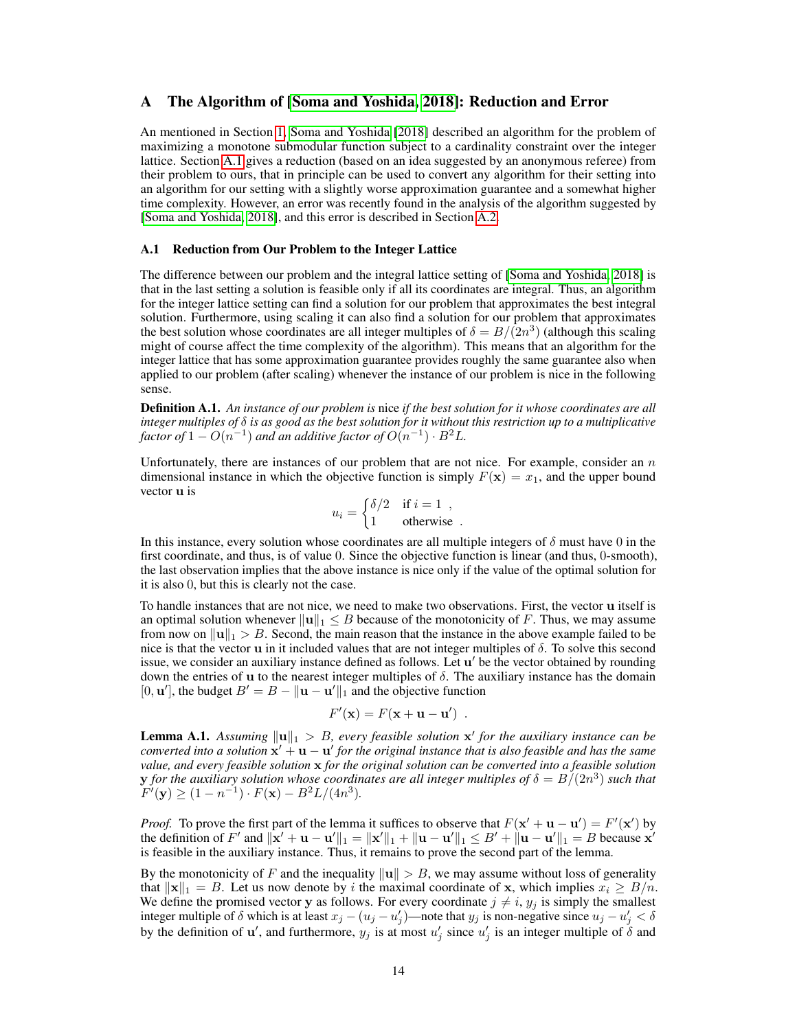## A The Algorithm of [Soma and Yoshida, 2018]: Reduction and Error

An mentioned in Section 1, Soma and Yoshida [2018] described an algorithm for the problem of maximizing a monotone submodular function subject to a cardinality constraint over the integer lattice. Section A.1 gives a reduction (based on an idea suggested by an anonymous referee) from their problem to ours, that in principle can be used to convert any algorithm for their setting into an algorithm for our setting with a slightly worse approximation guarantee and a somewhat higher time complexity. However, an error was recently found in the analysis of the algorithm suggested by [Soma and Yoshida, 2018], and this error is described in Section A.2.

### A.1 Reduction from Our Problem to the Integer Lattice

The difference between our problem and the integral lattice setting of [Soma and Yoshida, 2018] is that in the last setting a solution is feasible only if all its coordinates are integral. Thus, an algorithm for the integer lattice setting can find a solution for our problem that approximates the best integral solution. Furthermore, using scaling it can also find a solution for our problem that approximates the best solution whose coordinates are all integer multiples of  $\delta = B/(2n^3)$  (although this scaling might of course affect the time complexity of the algorithm). This means that an algorithm for the integer lattice that has some approximation guarantee provides roughly the same guarantee also when applied to our problem (after scaling) whenever the instance of our problem is nice in the following sense.

Definition A.1. *An instance of our problem is* nice *if the best solution for it whose coordinates are all integer multiples of* δ *is as good as the best solution for it without this restriction up to a multiplicative* factor of  $1-O(n^{-1})$  and an additive factor of  $O(n^{-1})\cdot B^2L$ .

Unfortunately, there are instances of our problem that are not nice. For example, consider an  $n$ dimensional instance in which the objective function is simply  $F(\mathbf{x}) = x_1$ , and the upper bound vector u is

$$
u_i = \begin{cases} \delta/2 & \text{if } i = 1, \\ 1 & \text{otherwise.} \end{cases}
$$

In this instance, every solution whose coordinates are all multiple integers of  $\delta$  must have 0 in the first coordinate, and thus, is of value 0. Since the objective function is linear (and thus, 0-smooth), the last observation implies that the above instance is nice only if the value of the optimal solution for it is also 0, but this is clearly not the case.

To handle instances that are not nice, we need to make two observations. First, the vector u itself is an optimal solution whenever  $\|u\|_1 \leq B$  because of the monotonicity of F. Thus, we may assume from now on  $\|\mathbf{u}\|_1 > B$ . Second, the main reason that the instance in the above example failed to be nice is that the vector **u** in it included values that are not integer multiples of  $\delta$ . To solve this second issue, we consider an auxiliary instance defined as follows. Let u' be the vector obtained by rounding down the entries of u to the nearest integer multiples of  $\delta$ . The auxiliary instance has the domain [0, **u**'], the budget  $B' = B - ||\mathbf{u} - \mathbf{u}'||_1$  and the objective function

$$
F'(\mathbf{x}) = F(\mathbf{x} + \mathbf{u} - \mathbf{u}') .
$$

**Lemma A.1.** Assuming  $\|\mathbf{u}\|_1 > B$ , every feasible solution  $\mathbf{x}'$  for the auxiliary instance can be *converted into a solution*  $\mathbf{x}' + \mathbf{u} - \mathbf{u}'$  for the original instance that is also feasible and has the same *value, and every feasible solution* x *for the original solution can be converted into a feasible solution*  ${\bf y}$  for the auxiliary solution whose coordinates are all integer multiples of  $\delta=B/(2n^3)$  such that  $F'(\mathbf{y}) \ge (1 - n^{-1}) \cdot F(\mathbf{x}) - B^2 L / (4n^3).$ 

*Proof.* To prove the first part of the lemma it suffices to observe that  $F(x' + u - u') = F'(x')$  by the definition of F' and  $\|\mathbf{x}' + \mathbf{u} - \mathbf{u}'\|_1 = \|\mathbf{x}'\|_1 + \|\mathbf{u} - \mathbf{u}'\|_1 \leq B' + \|\mathbf{u} - \mathbf{u}'\|_1 = B$  because  $\mathbf{x}'$ is feasible in the auxiliary instance. Thus, it remains to prove the second part of the lemma.

By the monotonicity of F and the inequality  $\|u\| > B$ , we may assume without loss of generality that  $||\mathbf{x}||_1 = B$ . Let us now denote by i the maximal coordinate of x, which implies  $x_i \geq B/n$ . We define the promised vector y as follows. For every coordinate  $j \neq i$ ,  $y_j$  is simply the smallest integer multiple of  $\delta$  which is at least  $x_j - (u_j - u'_j)$ —note that  $y_j$  is non-negative since  $u_j - u'_j < \delta$ by the definition of  $\mathbf{u}'$ , and furthermore,  $y_j$  is at most  $u'_j$  since  $u'_j$  is an integer multiple of  $\delta$  and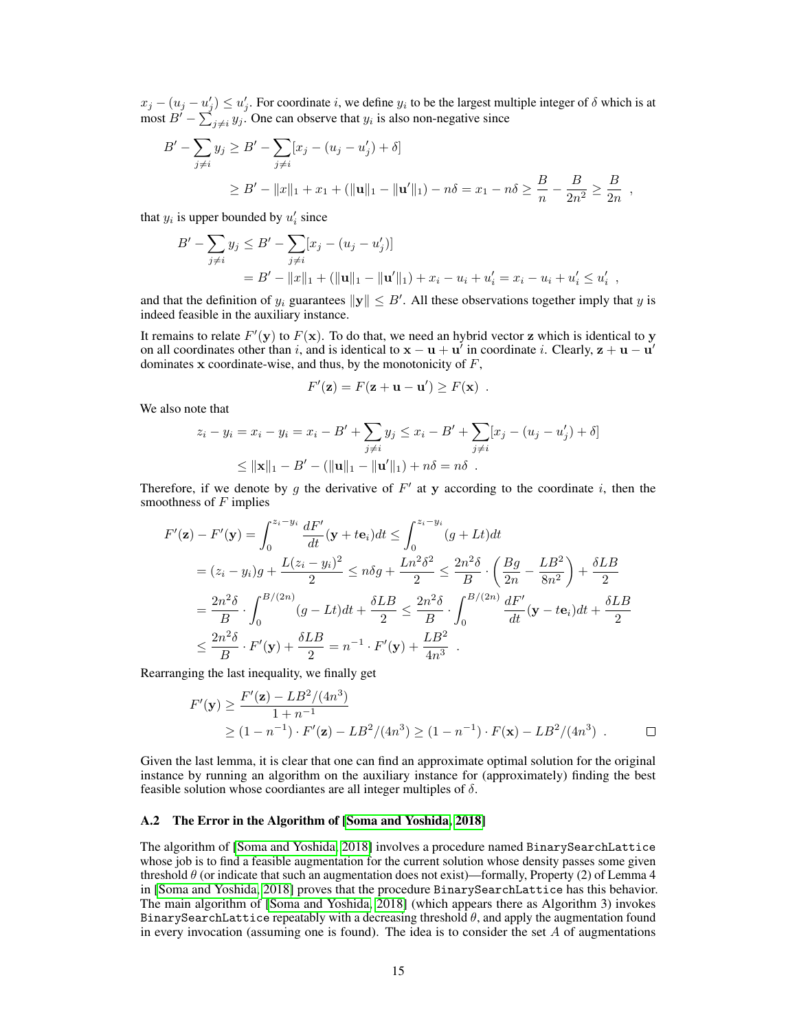$x_j - (u_j - u'_j) \le u'_j$ . For coordinate i, we define  $y_i$  to be the largest multiple integer of  $\delta$  which is at most  $B' - \sum_{j \neq i} y_j$ . One can observe that  $y_i$  is also non-negative since

$$
B' - \sum_{j \neq i} y_j \geq B' - \sum_{j \neq i} [x_j - (u_j - u'_j) + \delta]
$$
  
\n
$$
\geq B' - ||x||_1 + x_1 + (||\mathbf{u}||_1 - ||\mathbf{u}'||_1) - n\delta = x_1 - n\delta \geq \frac{B}{n} - \frac{B}{2n^2} \geq \frac{B}{2n},
$$

that  $y_i$  is upper bounded by  $u'_i$  since

$$
B' - \sum_{j \neq i} y_j \leq B' - \sum_{j \neq i} [x_j - (u_j - u'_j)]
$$
  
= B' - ||x||\_1 + (||u||\_1 - ||u'||\_1) + x\_i - u\_i + u'\_i = x\_i - u\_i + u'\_i \leq u'\_i ,

and that the definition of  $y_i$  guarantees  $\|\mathbf{y}\| \leq B'$ . All these observations together imply that y is indeed feasible in the auxiliary instance.

It remains to relate  $F'(\mathbf{y})$  to  $F(\mathbf{x})$ . To do that, we need an hybrid vector z which is identical to y on all coordinates other than i, and is identical to  $x - u + u'$  in coordinate i. Clearly,  $z + u - u'$ dominates  $x$  coordinate-wise, and thus, by the monotonicity of  $F$ ,

$$
F'(\mathbf{z}) = F(\mathbf{z} + \mathbf{u} - \mathbf{u}') \geq F(\mathbf{x}) \enspace .
$$

We also note that

$$
z_i - y_i = x_i - y_i = x_i - B' + \sum_{j \neq i} y_j \leq x_i - B' + \sum_{j \neq i} [x_j - (u_j - u'_j) + \delta]
$$
  
 
$$
\leq ||\mathbf{x}||_1 - B' - (||\mathbf{u}||_1 - ||\mathbf{u}'||_1) + n\delta = n\delta.
$$

Therefore, if we denote by g the derivative of  $F'$  at y according to the coordinate i, then the smoothness of  $F$  implies

$$
F'(\mathbf{z}) - F'(\mathbf{y}) = \int_0^{z_i - y_i} \frac{dF'}{dt} (\mathbf{y} + t\mathbf{e}_i) dt \le \int_0^{z_i - y_i} (g + Lt) dt
$$
  
=  $(z_i - y_i)g + \frac{L(z_i - y_i)^2}{2} \le n\delta g + \frac{Ln^2 \delta^2}{2} \le \frac{2n^2 \delta}{B} \cdot \left(\frac{Bg}{2n} - \frac{LB^2}{8n^2}\right) + \frac{\delta LB}{2}$   
=  $\frac{2n^2 \delta}{B} \cdot \int_0^{B/(2n)} (g - Lt) dt + \frac{\delta LB}{2} \le \frac{2n^2 \delta}{B} \cdot \int_0^{B/(2n)} \frac{dF'}{dt} (\mathbf{y} - t\mathbf{e}_i) dt + \frac{\delta LB}{2}$   
 $\le \frac{2n^2 \delta}{B} \cdot F'(\mathbf{y}) + \frac{\delta LB}{2} = n^{-1} \cdot F'(\mathbf{y}) + \frac{LB^2}{4n^3}$ .

Rearranging the last inequality, we finally get

$$
F'(\mathbf{y}) \ge \frac{F'(\mathbf{z}) - LB^2/(4n^3)}{1 + n^{-1}} \n\ge (1 - n^{-1}) \cdot F'(\mathbf{z}) - LB^2/(4n^3) \ge (1 - n^{-1}) \cdot F(\mathbf{x}) - LB^2/(4n^3) . \qquad \Box
$$

Given the last lemma, it is clear that one can find an approximate optimal solution for the original instance by running an algorithm on the auxiliary instance for (approximately) finding the best feasible solution whose coordiantes are all integer multiples of  $\delta$ .

#### A.2 The Error in the Algorithm of [Soma and Yoshida, 2018]

The algorithm of [Soma and Yoshida, 2018] involves a procedure named BinarySearchLattice whose job is to find a feasible augmentation for the current solution whose density passes some given threshold  $\theta$  (or indicate that such an augmentation does not exist)—formally, Property (2) of Lemma 4 in [Soma and Yoshida, 2018] proves that the procedure BinarySearchLattice has this behavior. The main algorithm of [Soma and Yoshida, 2018] (which appears there as Algorithm 3) invokes BinarySearchLattice repeatably with a decreasing threshold  $\theta$ , and apply the augmentation found in every invocation (assuming one is found). The idea is to consider the set  $A$  of augmentations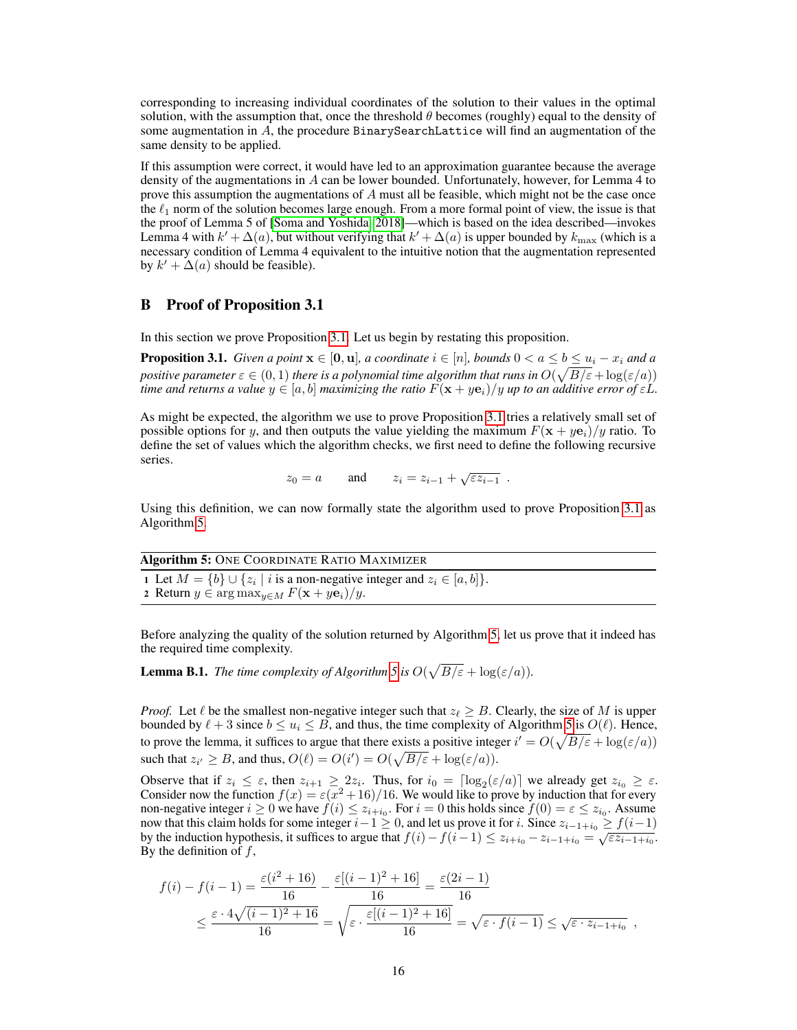corresponding to increasing individual coordinates of the solution to their values in the optimal solution, with the assumption that, once the threshold  $\theta$  becomes (roughly) equal to the density of some augmentation in  $A$ , the procedure BinarySearchLattice will find an augmentation of the same density to be applied.

If this assumption were correct, it would have led to an approximation guarantee because the average density of the augmentations in  $A$  can be lower bounded. Unfortunately, however, for Lemma 4 to prove this assumption the augmentations of  $A$  must all be feasible, which might not be the case once the  $\ell_1$  norm of the solution becomes large enough. From a more formal point of view, the issue is that the proof of Lemma 5 of [Soma and Yoshida, 2018]—which is based on the idea described—invokes Lemma 4 with  $k' + \Delta(a)$ , but without verifying that  $k' + \Delta(a)$  is upper bounded by  $k_{\max}$  (which is a necessary condition of Lemma 4 equivalent to the intuitive notion that the augmentation represented by  $k' + \Delta(a)$  should be feasible).

## B Proof of Proposition 3.1

In this section we prove Proposition [3.1.](#page-3-0) Let us begin by restating this proposition.

**Proposition 3.1.** *Given a point*  $\mathbf{x} \in [\mathbf{0}, \mathbf{u}]$ *, a coordinate*  $i \in [n]$ *, bounds*  $0 < a \leq b \leq u_i - x_i$  *and a* positive parameter  $\varepsilon\in(0,1)$  there is a polynomial time algorithm that runs in  $O(\sqrt{B/\varepsilon}+\log(\varepsilon/a))$ *time and returns a value*  $y \in [a, b]$  *maximizing the ratio*  $F(x + ye_i)/y$  *up to an additive error of*  $\varepsilon L$ *.* 

As might be expected, the algorithm we use to prove Proposition [3.1](#page-3-0) tries a relatively small set of possible options for y, and then outputs the value yielding the maximum  $F(x + ye_i)/y$  ratio. To define the set of values which the algorithm checks, we first need to define the following recursive series. √

$$
z_0 = a
$$
 and  $z_i = z_{i-1} + \sqrt{\varepsilon z_{i-1}}$ .

Using this definition, we can now formally state the algorithm used to prove Proposition [3.1](#page-3-0) as Algorithm 5.

| <b>Algorithm 5: ONE COORDINATE RATIO MAXIMIZER</b>                                           |  |
|----------------------------------------------------------------------------------------------|--|
| 1 Let $M = \{b\} \cup \{z_i \mid i \text{ is a non-negative integer and } z_i \in [a, b]\}.$ |  |

2 Return  $y \in \arg \max_{y \in M} F(\mathbf{x} + y\mathbf{e}_i)/y$ .

Before analyzing the quality of the solution returned by Algorithm 5, let us prove that it indeed has the required time complexity.

**Lemma B.1.** *The time complexity of Algorithm 5 is*  $O(\sqrt{B/\varepsilon} + \log(\varepsilon/a))$ *.* 

*Proof.* Let  $\ell$  be the smallest non-negative integer such that  $z_{\ell} \geq B$ . Clearly, the size of M is upper bounded by  $\ell + 3$  since  $b \leq u_i \leq B$ , and thus, the time complexity of Algorithm 5 is  $O(\ell)$ . Hence, to prove the lemma, it suffices to argue that there exists a positive integer  $i' = O(\sqrt{B/\varepsilon} + \log(\varepsilon/a))$ such that  $z_{i'} \geq B$ , and thus,  $O(\ell) = O(i') = O(\sqrt{B/\varepsilon} + \log(\varepsilon/a))$ .

Observe that if  $z_i \leq \varepsilon$ , then  $z_{i+1} \geq 2z_i$ . Thus, for  $i_0 = \lceil \log_2(\varepsilon/a) \rceil$  we already get  $z_{i_0} \geq \varepsilon$ . Consider now the function  $f(x) = \varepsilon(x^2 + 16)/16$ . We would like to prove by induction that for every non-negative integer  $i \ge 0$  we have  $f(i) \le z_{i+i_0}$ . For  $i = 0$  this holds since  $f(0) = \varepsilon \le z_{i_0}$ . Assume now that this claim holds for some integer  $i-1 \geq 0$ , and let us prove it for i. Since  $z_{i-1+i_0} \geq f(i-1)$ by the induction hypothesis, it suffices to argue that  $f(i) - f(i-1) \le z_{i+i_0} - z_{i-1+i_0} = \sqrt{\epsilon z_{i-1+i_0}}$ . By the definition of  $f$ ,

$$
f(i) - f(i-1) = \frac{\varepsilon(i^2 + 16)}{16} - \frac{\varepsilon[(i-1)^2 + 16]}{16} = \frac{\varepsilon(2i-1)}{16}
$$
  

$$
\leq \frac{\varepsilon \cdot 4\sqrt{(i-1)^2 + 16}}{16} = \sqrt{\varepsilon \cdot \frac{\varepsilon[(i-1)^2 + 16]}{16}} = \sqrt{\varepsilon \cdot f(i-1)} \leq \sqrt{\varepsilon \cdot z_{i-1+i_0}} ,
$$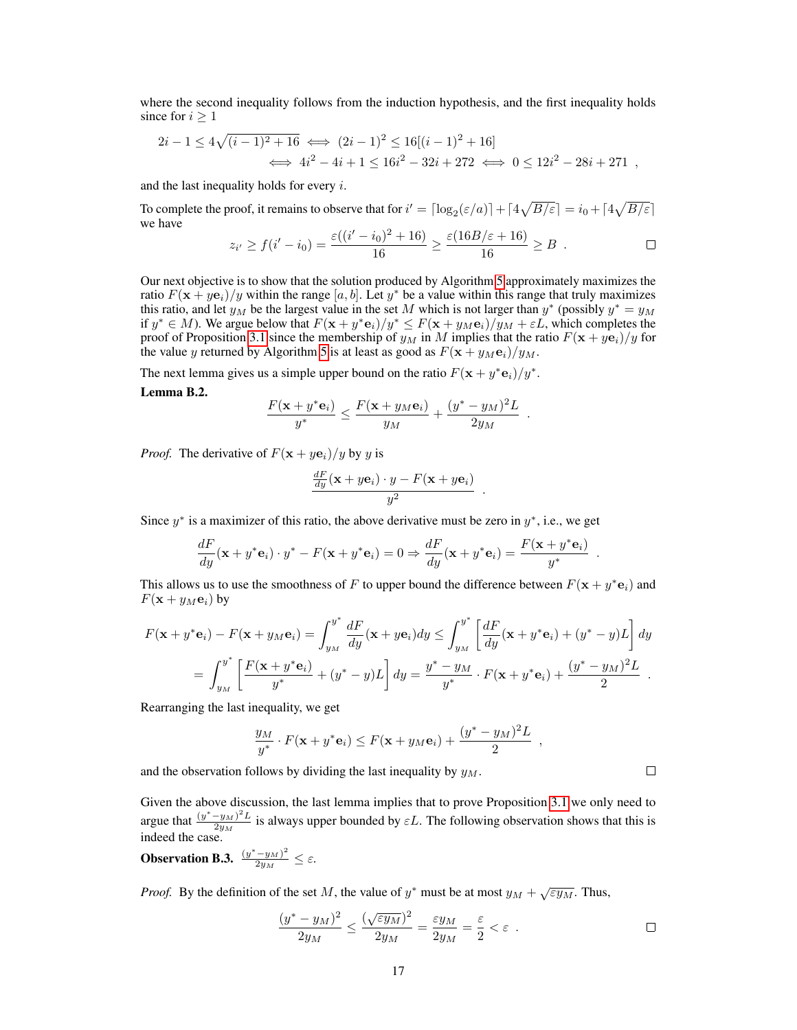<span id="page-3-0"></span>where the second inequality follows from the induction hypothesis, and the first inequality holds since for  $i \geq 1$ 

$$
2i - 1 \le 4\sqrt{(i - 1)^2 + 16} \iff (2i - 1)^2 \le 16[(i - 1)^2 + 16]
$$
  

$$
\iff 4i^2 - 4i + 1 \le 16i^2 - 32i + 272 \iff 0 \le 12i^2 - 28i + 271
$$

and the last inequality holds for every  $i$ .

To complete the proof, it remains to observe that for  $i' = \lceil \log_2(\varepsilon/a) \rceil + \lceil 4\sqrt{B/\varepsilon} \rceil = i_0 + \lceil 4\sqrt{B/\varepsilon} \rceil$ we have

$$
z_{i'} \ge f(i'-i_0) = \frac{\varepsilon((i'-i_0)^2 + 16)}{16} \ge \frac{\varepsilon(16B/\varepsilon + 16)}{16} \ge B .
$$

Our next objective is to show that the solution produced by Algorithm 5 approximately maximizes the ratio  $F(\mathbf{x} + y\mathbf{e}_i)/y$  within the range [a, b]. Let  $y^*$  be a value within this range that truly maximizes this ratio, and let  $y_M$  be the largest value in the set M which is not larger than  $y^*$  (possibly  $y^* = y_M$ if  $y^* \in M$ ). We argue below that  $F(\mathbf{x} + y^* \mathbf{e}_i)/y^* \leq F(\mathbf{x} + y_M \mathbf{e}_i)/y_M + \varepsilon L$ , which completes the proof of Proposition 3.1 since the membership of  $y_M$  in M implies that the ratio  $F(\mathbf{x} + y\mathbf{e}_i)/y$  for the value y returned by Algorithm 5 is at least as good as  $F(\mathbf{x} + y_M \mathbf{e}_i)/y_M$ .

The next lemma gives us a simple upper bound on the ratio  $F(\mathbf{x} + y^* \mathbf{e}_i)/y^*$ .

#### Lemma B.2.

$$
\frac{F(\mathbf{x}+y^*\mathbf{e}_i)}{y^*} \le \frac{F(\mathbf{x}+y_M\mathbf{e}_i)}{y_M} + \frac{(y^*-y_M)^2L}{2y_M}.
$$

*Proof.* The derivative of  $F(x + ye_i)/y$  by y is

$$
\frac{\frac{dF}{dy}(\mathbf{x} + y\mathbf{e}_i) \cdot y - F(\mathbf{x} + y\mathbf{e}_i)}{y^2}
$$

.

Since  $y^*$  is a maximizer of this ratio, the above derivative must be zero in  $y^*$ , i.e., we get

$$
\frac{dF}{dy}(\mathbf{x} + y^* \mathbf{e}_i) \cdot y^* - F(\mathbf{x} + y^* \mathbf{e}_i) = 0 \Rightarrow \frac{dF}{dy}(\mathbf{x} + y^* \mathbf{e}_i) = \frac{F(\mathbf{x} + y^* \mathbf{e}_i)}{y^*}
$$

This allows us to use the smoothness of F to upper bound the difference between  $F(\mathbf{x} + y^* \mathbf{e}_i)$  and  $F(\mathbf{x} + y_M \mathbf{e}_i)$  by

$$
F(\mathbf{x} + y^* \mathbf{e}_i) - F(\mathbf{x} + y_M \mathbf{e}_i) = \int_{y_M}^{y^*} \frac{dF}{dy}(\mathbf{x} + y \mathbf{e}_i) dy \le \int_{y_M}^{y^*} \left[ \frac{dF}{dy}(\mathbf{x} + y^* \mathbf{e}_i) + (y^* - y)L \right] dy
$$
  
= 
$$
\int_{y_M}^{y^*} \left[ \frac{F(\mathbf{x} + y^* \mathbf{e}_i)}{y^*} + (y^* - y)L \right] dy = \frac{y^* - y_M}{y^*} \cdot F(\mathbf{x} + y^* \mathbf{e}_i) + \frac{(y^* - y_M)^2 L}{2}.
$$

Rearranging the last inequality, we get

$$
\frac{y_M}{y^*} \cdot F(\mathbf{x} + y^* \mathbf{e}_i) \le F(\mathbf{x} + y_M \mathbf{e}_i) + \frac{(y^* - y_M)^2 L}{2}
$$

and the observation follows by dividing the last inequality by  $y_M$ .

Given the above discussion, the last lemma implies that to prove Proposition 3.1 we only need to argue that  $\frac{(y^* - y_M)^2 L}{2y_M}$  $\frac{-y_M}{2y_M}$  is always upper bounded by  $\varepsilon L$ . The following observation shows that this is indeed the case.

**Observation B.3.** 
$$
\frac{(y^* - y_M)^2}{2y_M} \leq \varepsilon.
$$

*Proof.* By the definition of the set M, the value of  $y^*$  must be at most  $y_M + \sqrt{\epsilon y_M}$ . Thus,

$$
\frac{(y^* - y_M)^2}{2y_M} \le \frac{(\sqrt{\varepsilon y_M})^2}{2y_M} = \frac{\varepsilon y_M}{2y_M} = \frac{\varepsilon}{2} < \varepsilon \quad \Box
$$

 $\Box$ 

.

,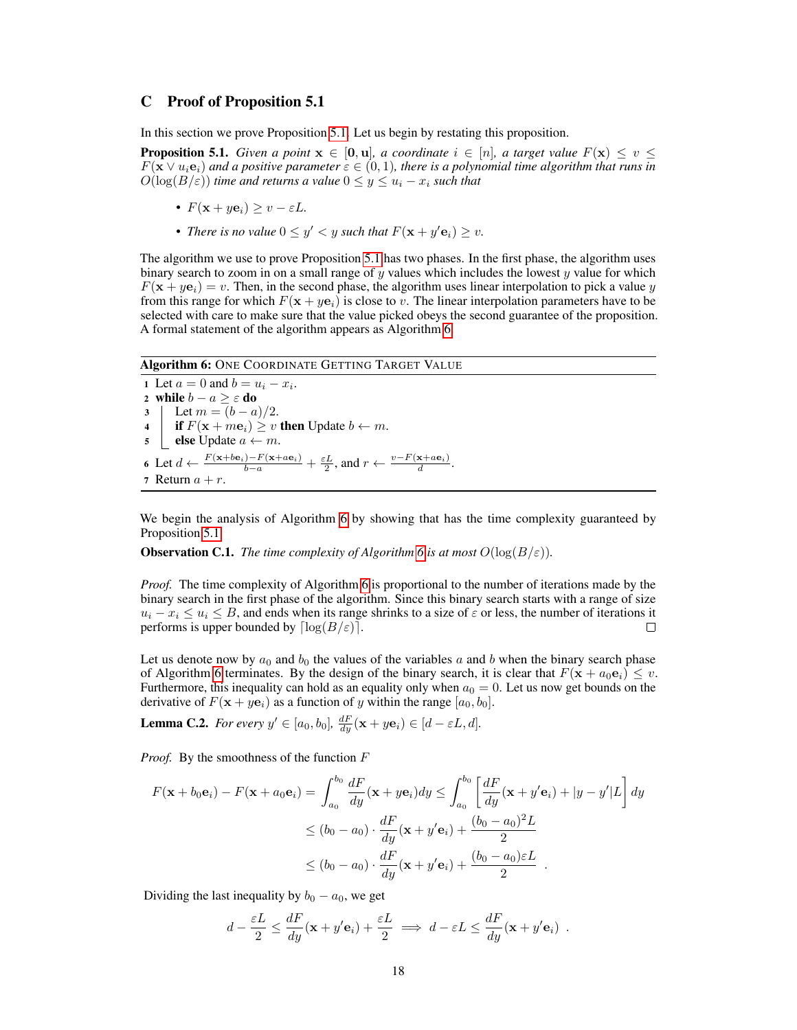# <span id="page-4-0"></span>C Proof of Proposition 5.1

In this section we prove Proposition [5.1.](#page-6-0) Let us begin by restating this proposition.

**Proposition 5.1.** *Given a point*  $x \in [0, u]$ *, a coordinate*  $i \in [n]$ *, a target value*  $F(x) \leq v \leq$  $F(\mathbf{x} \vee u_i \mathbf{e}_i)$  and a positive parameter  $\varepsilon \in (0,1)$ , there is a polynomial time algorithm that runs in  $O(\log(B/\varepsilon))$  *time and returns a value*  $0 \le y \le u_i - x_i$  *such that* 

- $F(\mathbf{x} + y\mathbf{e}_i) \geq v \varepsilon L$ .
- *There is no value*  $0 \le y' < y$  *such that*  $F(\mathbf{x} + y' \mathbf{e}_i) \ge v$ *.*

The algorithm we use to prove Proposition [5.1](#page-6-0) has two phases. In the first phase, the algorithm uses binary search to zoom in on a small range of  $y$  values which includes the lowest  $y$  value for which  $F(\mathbf{x} + y\mathbf{e}_i) = v$ . Then, in the second phase, the algorithm uses linear interpolation to pick a value y from this range for which  $F(x + ye_i)$  is close to v. The linear interpolation parameters have to be selected with care to make sure that the value picked obeys the second guarantee of the proposition. A formal statement of the algorithm appears as Algorithm 6.

Algorithm 6: ONE COORDINATE GETTING TARGET VALUE

1 Let  $a = 0$  and  $b = u_i - x_i$ . 2 while  $b - a \geq \varepsilon$  do 3 | Let  $m = (b - a)/2$ . 4 if  $F(\mathbf{x} + m\mathbf{e}_i) \geq v$  then Update  $b \leftarrow m$ . 5 | else Update  $a \leftarrow m$ . 6 Let  $d \leftarrow \frac{F(\mathbf{x}+b\mathbf{e}_i)-F(\mathbf{x}+a\mathbf{e}_i)}{b-a} + \frac{\varepsilon L}{2}$ , and  $r \leftarrow \frac{v-F(\mathbf{x}+a\mathbf{e}_i)}{d}$ . 7 Return  $a + r$ .

We begin the analysis of Algorithm 6 by showing that has the time complexity guaranteed by Proposition [5.1.](#page-6-0)

**Observation C.1.** *The time complexity of Algorithm* 6 *is at most*  $O(\log(B/\varepsilon))$ *.* 

*Proof.* The time complexity of Algorithm 6 is proportional to the number of iterations made by the binary search in the first phase of the algorithm. Since this binary search starts with a range of size  $u_i - x_i \leq u_i \leq B$ , and ends when its range shrinks to a size of  $\varepsilon$  or less, the number of iterations it performs is upper bounded by  $\lceil \log(B/\varepsilon) \rceil$ .  $\Box$ 

Let us denote now by  $a_0$  and  $b_0$  the values of the variables a and b when the binary search phase of Algorithm 6 terminates. By the design of the binary search, it is clear that  $F(\mathbf{x} + a_0 \mathbf{e}_i) \leq v$ . Furthermore, this inequality can hold as an equality only when  $a_0 = 0$ . Let us now get bounds on the derivative of  $F(\mathbf{x} + y\mathbf{e}_i)$  as a function of y within the range  $[a_0, b_0]$ .

**Lemma C.2.** *For every*  $y' \in [a_0, b_0]$ ,  $\frac{dF}{dy}(\mathbf{x} + y\mathbf{e}_i) \in [d - \varepsilon L, d]$ .

*Proof.* By the smoothness of the function F

$$
F(\mathbf{x} + b_0 \mathbf{e}_i) - F(\mathbf{x} + a_0 \mathbf{e}_i) = \int_{a_0}^{b_0} \frac{dF}{dy} (\mathbf{x} + y \mathbf{e}_i) dy \le \int_{a_0}^{b_0} \left[ \frac{dF}{dy} (\mathbf{x} + y' \mathbf{e}_i) + |y - y'|L \right] dy
$$
  

$$
\le (b_0 - a_0) \cdot \frac{dF}{dy} (\mathbf{x} + y' \mathbf{e}_i) + \frac{(b_0 - a_0)^2 L}{2}
$$
  

$$
\le (b_0 - a_0) \cdot \frac{dF}{dy} (\mathbf{x} + y' \mathbf{e}_i) + \frac{(b_0 - a_0)\varepsilon L}{2} .
$$

Dividing the last inequality by  $b_0 - a_0$ , we get

$$
d - \frac{\varepsilon L}{2} \le \frac{dF}{dy}(\mathbf{x} + y'\mathbf{e}_i) + \frac{\varepsilon L}{2} \implies d - \varepsilon L \le \frac{dF}{dy}(\mathbf{x} + y'\mathbf{e}_i) .
$$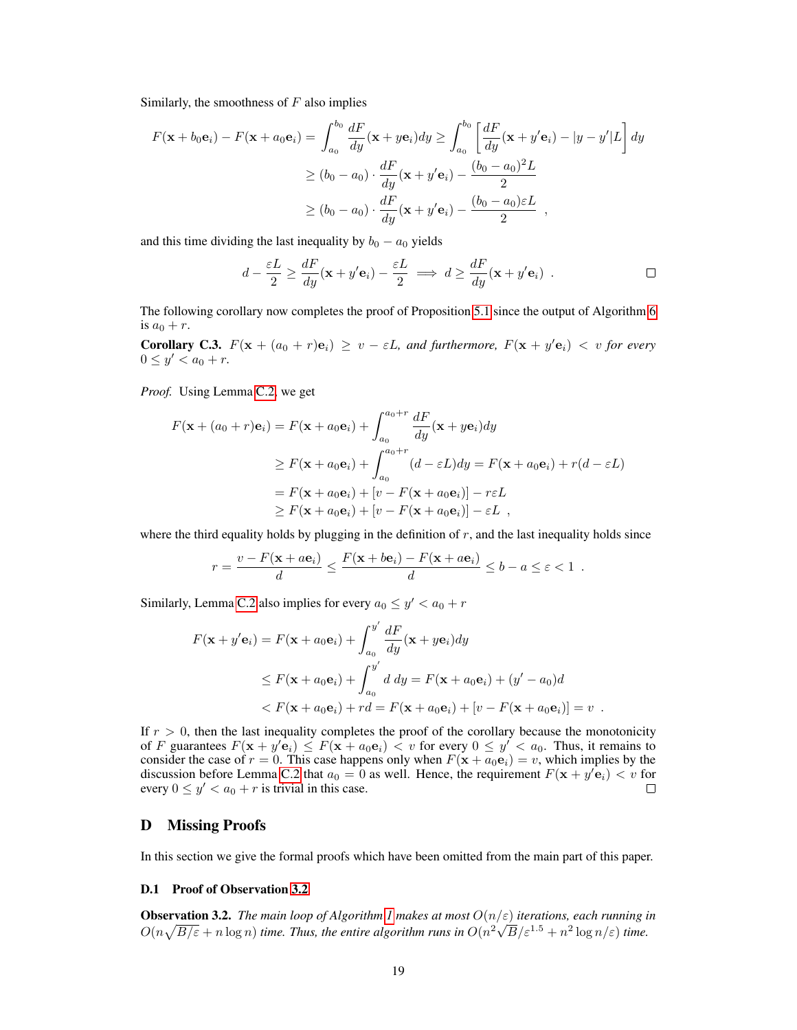<span id="page-5-0"></span>Similarly, the smoothness of  $F$  also implies

$$
F(\mathbf{x} + b_0 \mathbf{e}_i) - F(\mathbf{x} + a_0 \mathbf{e}_i) = \int_{a_0}^{b_0} \frac{dF}{dy} (\mathbf{x} + y \mathbf{e}_i) dy \ge \int_{a_0}^{b_0} \left[ \frac{dF}{dy} (\mathbf{x} + y' \mathbf{e}_i) - |y - y'|L \right] dy
$$
  

$$
\ge (b_0 - a_0) \cdot \frac{dF}{dy} (\mathbf{x} + y' \mathbf{e}_i) - \frac{(b_0 - a_0)^2 L}{2}
$$
  

$$
\ge (b_0 - a_0) \cdot \frac{dF}{dy} (\mathbf{x} + y' \mathbf{e}_i) - \frac{(b_0 - a_0)\varepsilon L}{2} ,
$$

and this time dividing the last inequality by  $b_0 - a_0$  yields

$$
d - \frac{\varepsilon L}{2} \ge \frac{dF}{dy} (\mathbf{x} + y' \mathbf{e}_i) - \frac{\varepsilon L}{2} \implies d \ge \frac{dF}{dy} (\mathbf{x} + y' \mathbf{e}_i) .
$$

The following corollary now completes the proof of Proposition [5.1](#page-6-0) since the output of Algorithm 6 is  $a_0 + r$ .

**Corollary C.3.**  $F(x + (a_0 + r)e_i) \ge v - \varepsilon L$ , and furthermore,  $F(x + y'e_i) < v$  for every  $0 \le y' < a_0 + r.$ 

*Proof.* Using Lemma C.2, we get

$$
F(\mathbf{x} + (a_0 + r)\mathbf{e}_i) = F(\mathbf{x} + a_0 \mathbf{e}_i) + \int_{a_0}^{a_0 + r} \frac{dF}{dy}(\mathbf{x} + y\mathbf{e}_i) dy
$$
  
\n
$$
\geq F(\mathbf{x} + a_0 \mathbf{e}_i) + \int_{a_0}^{a_0 + r} (d - \varepsilon L) dy = F(\mathbf{x} + a_0 \mathbf{e}_i) + r(d - \varepsilon L)
$$
  
\n
$$
= F(\mathbf{x} + a_0 \mathbf{e}_i) + [v - F(\mathbf{x} + a_0 \mathbf{e}_i)] - r\varepsilon L
$$
  
\n
$$
\geq F(\mathbf{x} + a_0 \mathbf{e}_i) + [v - F(\mathbf{x} + a_0 \mathbf{e}_i)] - \varepsilon L,
$$

where the third equality holds by plugging in the definition of  $r$ , and the last inequality holds since

$$
r = \frac{v - F(\mathbf{x} + a\mathbf{e}_i)}{d} \le \frac{F(\mathbf{x} + b\mathbf{e}_i) - F(\mathbf{x} + a\mathbf{e}_i)}{d} \le b - a \le \varepsilon < 1.
$$

Similarly, Lemma C.2 also implies for every  $a_0 \le y' < a_0 + r$ 

$$
F(\mathbf{x} + y'\mathbf{e}_i) = F(\mathbf{x} + a_0 \mathbf{e}_i) + \int_{a_0}^{y'} \frac{dF}{dy}(\mathbf{x} + y\mathbf{e}_i) dy
$$
  
\n
$$
\leq F(\mathbf{x} + a_0 \mathbf{e}_i) + \int_{a_0}^{y'} d\,dy = F(\mathbf{x} + a_0 \mathbf{e}_i) + (y' - a_0)d
$$
  
\n
$$
< F(\mathbf{x} + a_0 \mathbf{e}_i) + rd = F(\mathbf{x} + a_0 \mathbf{e}_i) + [v - F(\mathbf{x} + a_0 \mathbf{e}_i)] = v.
$$

If  $r > 0$ , then the last inequality completes the proof of the corollary because the monotonicity of F guarantees  $F(\mathbf{x} + y' \mathbf{e}_i) \leq F(\mathbf{x} + a_0 \mathbf{e}_i) < v$  for every  $0 \leq y' < a_0$ . Thus, it remains to consider the case of  $r = 0$ . This case happens only when  $F(\mathbf{x} + a_0 \mathbf{e}_i) = v$ , which implies by the discussion before Lemma C.2 that  $a_0 = 0$  as well. Hence, the requirement  $F(\mathbf{x} + y' \mathbf{e}_i) < v$  for every  $0 \le y' < a_0 + r$  is trivial in this case.

# D Missing Proofs

In this section we give the formal proofs which have been omitted from the main part of this paper.

### D.1 Proof of Observation [3.2](#page-3-0)

**Observation 3.2.** *The main loop of Algorithm [1](#page-4-0) makes at most*  $O(n/\varepsilon)$  *iterations, each running in*  $O(n\sqrt{B/\varepsilon}+n\log n)$  *time. Thus, the entire algorithm runs in*  $O(n^2\sqrt{B/\varepsilon}^{1.5}+n^2\log n/\varepsilon)$  *time.*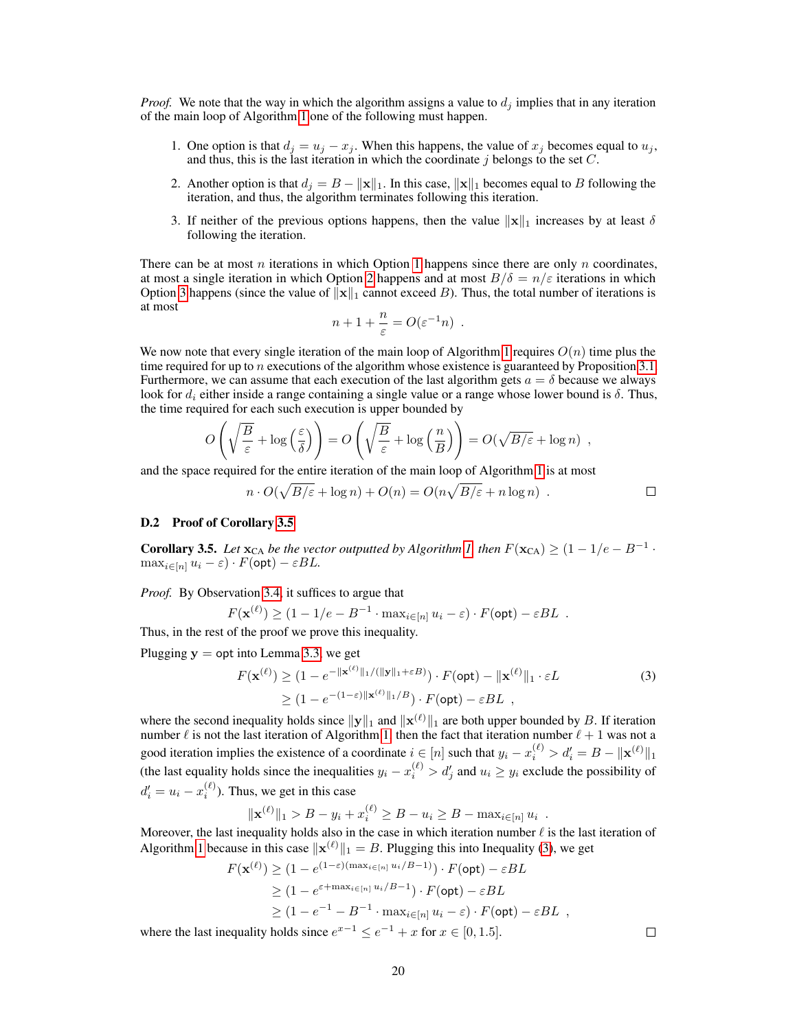<span id="page-6-0"></span>*Proof.* We note that the way in which the algorithm assigns a value to  $d_i$  implies that in any iteration of the main loop of Algorithm [1](#page-4-0) one of the following must happen.

- 1. One option is that  $d_j = u_j x_j$ . When this happens, the value of  $x_j$  becomes equal to  $u_j$ , and thus, this is the last iteration in which the coordinate  $j$  belongs to the set  $C$ .
- 2. Another option is that  $d_i = B ||\mathbf{x}||_1$ . In this case,  $||\mathbf{x}||_1$  becomes equal to B following the iteration, and thus, the algorithm terminates following this iteration.
- 3. If neither of the previous options happens, then the value  $||x||_1$  increases by at least  $\delta$ following the iteration.

There can be at most n iterations in which Option 1 happens since there are only n coordinates, at most a single iteration in which Option 2 happens and at most  $B/\delta = n/\varepsilon$  iterations in which Option 3 happens (since the value of  $\|\mathbf{x}\|_1$  cannot exceed B). Thus, the total number of iterations is at most

$$
n+1+\frac{n}{\varepsilon}=O(\varepsilon^{-1}n) .
$$

We now note that every single iteration of the main loop of Algorithm [1](#page-4-0) requires  $O(n)$  time plus the time required for up to n executions of the algorithm whose existence is guaranteed by Proposition  $3.1$ . Furthermore, we can assume that each execution of the last algorithm gets  $a = \delta$  because we always look for  $d_i$  either inside a range containing a single value or a range whose lower bound is  $\delta$ . Thus, the time required for each such execution is upper bounded by

$$
O\left(\sqrt{\frac{B}{\varepsilon}} + \log\left(\frac{\varepsilon}{\delta}\right)\right) = O\left(\sqrt{\frac{B}{\varepsilon}} + \log\left(\frac{n}{B}\right)\right) = O(\sqrt{B/\varepsilon} + \log n) ,
$$

and the space required for the entire iteration of the main loop of Algorithm [1](#page-4-0) is at most

$$
n \cdot O(\sqrt{B/\varepsilon} + \log n) + O(n) = O(n\sqrt{B/\varepsilon} + n\log n) . \square
$$

#### D.2 Proof of Corollary [3.5](#page-5-0)

**Corollary 3.5.** Let  $\mathbf{x}_{CA}$  be the vector outputted by Algorithm [1,](#page-4-0) then  $F(\mathbf{x}_{CA}) \geq (1 - 1/e - B^{-1} \cdot \mathbf{x}_{CA})$  $\max_{i \in [n]} u_i - \varepsilon \cdot F(\text{opt}) - \varepsilon BL.$ 

*Proof.* By Observation [3.4,](#page-5-0) it suffices to argue that

$$
F(\mathbf{x}^{(\ell)}) \ge (1 - 1/e - B^{-1} \cdot \max_{i \in [n]} u_i - \varepsilon) \cdot F(\text{opt}) - \varepsilon BL .
$$

Thus, in the rest of the proof we prove this inequality.

Plugging  $y =$  opt into Lemma [3.3,](#page-4-0) we get

$$
F(\mathbf{x}^{(\ell)}) \ge (1 - e^{-\|\mathbf{x}^{(\ell)}\|_1 / (\|\mathbf{y}\|_1 + \varepsilon B)}) \cdot F(\text{opt}) - \|\mathbf{x}^{(\ell)}\|_1 \cdot \varepsilon L
$$
  
\n
$$
\ge (1 - e^{-(1-\varepsilon)\|\mathbf{x}^{(\ell)}\|_1 / B}) \cdot F(\text{opt}) - \varepsilon BL,
$$
\n(3)

where the second inequality holds since  $||y||_1$  and  $||x^{(\ell)}||_1$  are both upper bounded by B. If iteration number  $\ell$  is not the last iteration of Algorithm [1,](#page-4-0) then the fact that iteration number  $\ell + 1$  was not a good iteration implies the existence of a coordinate  $i \in [n]$  such that  $y_i - x_i^{(\ell)} > d'_i = B - ||\mathbf{x}^{(\ell)}||_1$ (the last equality holds since the inequalities  $y_i - x_i^{(\ell)} > d'_j$  and  $u_i \ge y_i$  exclude the possibility of  $d_i' = u_i - x_i^{(\ell)}$ ). Thus, we get in this case

$$
\|\mathbf{x}^{(\ell)}\|_1 > B - y_i + x_i^{(\ell)} \ge B - u_i \ge B - \max_{i \in [n]} u_i .
$$

Moreover, the last inequality holds also in the case in which iteration number  $\ell$  is the last iteration of Algorithm [1](#page-4-0) because in this case  $\|\mathbf{x}^{(\ell)}\|_1 = B$ . Plugging this into Inequality (3), we get

$$
F(\mathbf{x}^{(\ell)}) \ge (1 - e^{(1-\varepsilon)(\max_{i\in[n]} u_i/B - 1)}) \cdot F(\text{opt}) - \varepsilon BL
$$
  
\n
$$
\ge (1 - e^{\varepsilon + \max_{i\in[n]} u_i/B - 1}) \cdot F(\text{opt}) - \varepsilon BL
$$
  
\n
$$
\ge (1 - e^{-1} - B^{-1} \cdot \max_{i\in[n]} u_i - \varepsilon) \cdot F(\text{opt}) - \varepsilon BL
$$
,  
\ninequality holds since  $e^{x-1} \le e^{-1} + x$  for  $x \in [0, 1, 5]$ 

 $\Box$ 

where the last inequality holds since  $e^{x-1} \le e^{-1} + x$  for  $x \in [0, 1.5]$ .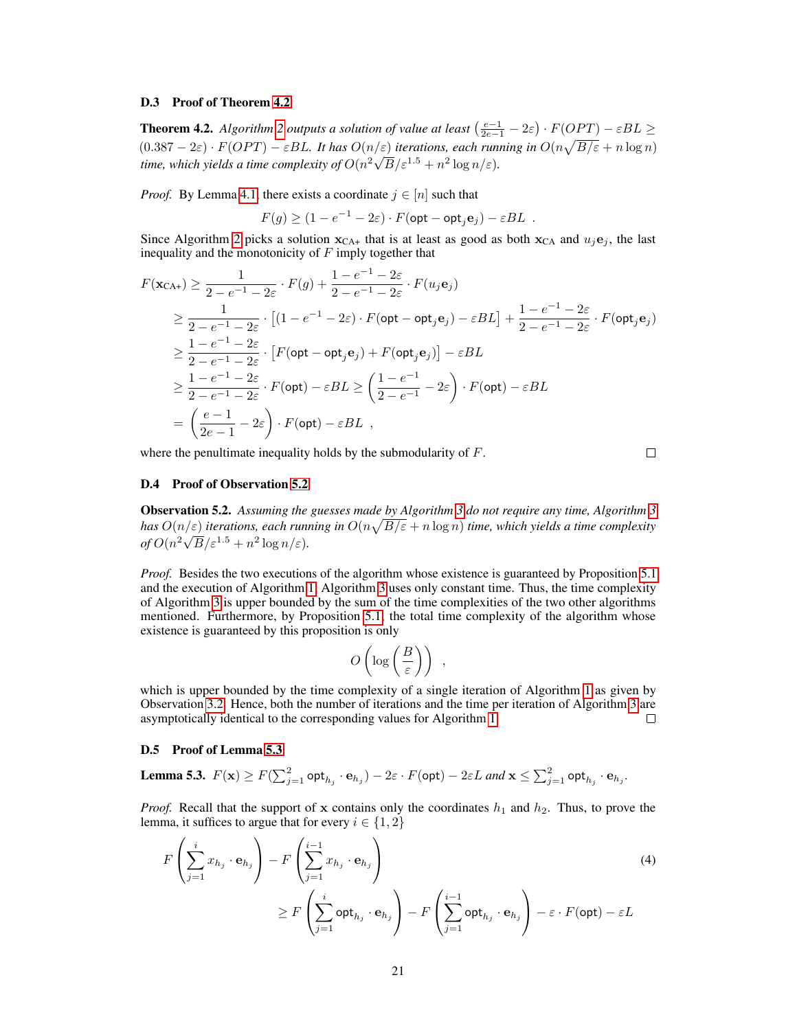### <span id="page-7-0"></span>D.3 Proof of Theorem [4.2](#page-6-0)

**Theorem 4.2.** *Algorithm* [2](#page-6-0) *outputs a solution of value at least*  $\left(\frac{e-1}{2e-1} - 2\varepsilon\right) \cdot F(OPT) - \varepsilon BL \ge$  $(0.387 - 2\varepsilon) \cdot F(OPT) - \varepsilon BL$ . It has  $O(n/\varepsilon)$  *iterations, each running in*  $O(n\sqrt{B/\varepsilon} + n \log n)$ time, which yields a time complexity of  $O(n^2\sqrt{B}/\varepsilon^{1.5}+n^2\log n/\varepsilon)$ .

*Proof.* By Lemma [4.1,](#page-5-0) there exists a coordinate  $j \in [n]$  such that

$$
F(g) \ge (1 - e^{-1} - 2\varepsilon) \cdot F(\text{opt} - \text{opt}_j \mathbf{e}_j) - \varepsilon BL.
$$

Since Algorithm [2](#page-6-0) picks a solution  $x_{CA+}$  that is at least as good as both  $x_{CA}$  and  $u_i e_j$ , the last inequality and the monotonicity of  $F$  imply together that

$$
F(\mathbf{x}_{CA+}) \geq \frac{1}{2 - e^{-1} - 2\varepsilon} \cdot F(g) + \frac{1 - e^{-1} - 2\varepsilon}{2 - e^{-1} - 2\varepsilon} \cdot F(u_j \mathbf{e}_j)
$$
  
\n
$$
\geq \frac{1}{2 - e^{-1} - 2\varepsilon} \cdot \left[ (1 - e^{-1} - 2\varepsilon) \cdot F(\text{opt} - \text{opt}_j \mathbf{e}_j) - \varepsilon BL \right] + \frac{1 - e^{-1} - 2\varepsilon}{2 - e^{-1} - 2\varepsilon} \cdot F(\text{opt}_j \mathbf{e}_j)
$$
  
\n
$$
\geq \frac{1 - e^{-1} - 2\varepsilon}{2 - e^{-1} - 2\varepsilon} \cdot \left[ F(\text{opt} - \text{opt}_j \mathbf{e}_j) + F(\text{opt}_j \mathbf{e}_j) \right] - \varepsilon BL
$$
  
\n
$$
\geq \frac{1 - e^{-1} - 2\varepsilon}{2 - e^{-1} - 2\varepsilon} \cdot F(\text{opt}) - \varepsilon BL \geq \left( \frac{1 - e^{-1}}{2 - e^{-1}} - 2\varepsilon \right) \cdot F(\text{opt}) - \varepsilon BL
$$
  
\n
$$
= \left( \frac{e - 1}{2e - 1} - 2\varepsilon \right) \cdot F(\text{opt}) - \varepsilon BL
$$

where the penultimate inequality holds by the submodularity of F.

 $\Box$ 

### D.4 Proof of Observation 5.2

Observation 5.2. *Assuming the guesses made by Algorithm 3 do not require any time, Algorithm 3 has*  $O(n/\varepsilon)$  *iterations, each running in*  $O(n\sqrt{B/\varepsilon} + n \log n)$  *time, which yields a time complexity*  $of O(n^2\sqrt{B}/\varepsilon^{1.5}+n^2\log n/\varepsilon).$ 

*Proof.* Besides the two executions of the algorithm whose existence is guaranteed by Proposition [5.1](#page-6-0) and the execution of Algorithm [1,](#page-4-0) Algorithm 3 uses only constant time. Thus, the time complexity of Algorithm 3 is upper bounded by the sum of the time complexities of the two other algorithms mentioned. Furthermore, by Proposition [5.1,](#page-6-0) the total time complexity of the algorithm whose existence is guaranteed by this proposition is only

$$
O\left(\log\left(\frac{B}{\varepsilon}\right)\right) ,
$$

which is upper bounded by the time complexity of a single iteration of Algorithm [1](#page-4-0) as given by Observation [3.2.](#page-3-0) Hence, both the number of iterations and the time per iteration of Algorithm 3 are asymptotically identical to the corresponding values for Algorithm [1.](#page-4-0)  $\Box$ 

## D.5 Proof of Lemma 5.3

**Lemma 5.3.** 
$$
F(\mathbf{x}) \ge F(\sum_{j=1}^{2} \mathsf{opt}_{h_j} \cdot \mathbf{e}_{h_j}) - 2\varepsilon \cdot F(\mathsf{opt}) - 2\varepsilon L
$$
 and  $\mathbf{x} \le \sum_{j=1}^{2} \mathsf{opt}_{h_j} \cdot \mathbf{e}_{h_j}$ .

*Proof.* Recall that the support of x contains only the coordinates  $h_1$  and  $h_2$ . Thus, to prove the lemma, it suffices to argue that for every  $i \in \{1, 2\}$ 

$$
F\left(\sum_{j=1}^{i} x_{h_j} \cdot \mathbf{e}_{h_j}\right) - F\left(\sum_{j=1}^{i-1} x_{h_j} \cdot \mathbf{e}_{h_j}\right)
$$
  
\n
$$
\geq F\left(\sum_{j=1}^{i} \mathsf{opt}_{h_j} \cdot \mathbf{e}_{h_j}\right) - F\left(\sum_{j=1}^{i-1} \mathsf{opt}_{h_j} \cdot \mathbf{e}_{h_j}\right) - \varepsilon \cdot F(\mathsf{opt}) - \varepsilon L
$$
\n(4)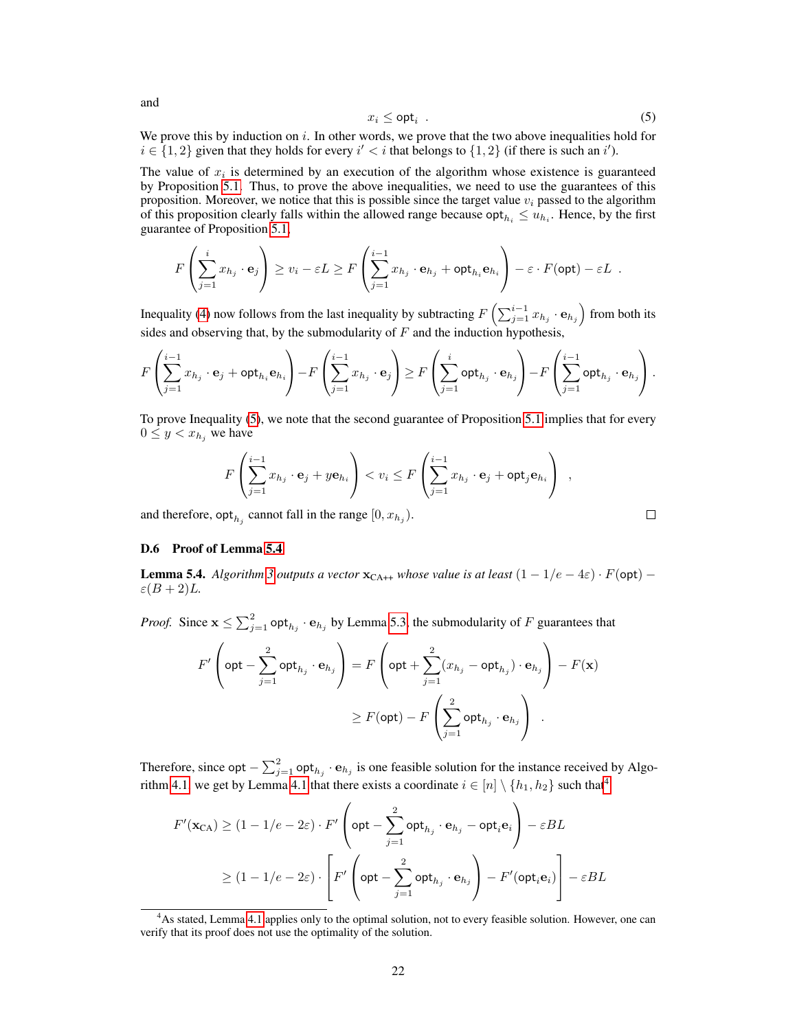$$
x_i \le \mathsf{opt}_i \tag{5}
$$

We prove this by induction on  $i$ . In other words, we prove that the two above inequalities hold for  $i \in \{1,2\}$  given that they holds for every  $i' < i$  that belongs to  $\{1,2\}$  (if there is such an i').

The value of  $x_i$  is determined by an execution of the algorithm whose existence is guaranteed by Proposition [5.1.](#page-6-0) Thus, to prove the above inequalities, we need to use the guarantees of this proposition. Moreover, we notice that this is possible since the target value  $v_i$  passed to the algorithm of this proposition clearly falls within the allowed range because  $\text{opt}_{h_i} \leq u_{h_i}$ . Hence, by the first guarantee of Proposition [5.1,](#page-6-0)

$$
F\left(\sum_{j=1}^i x_{h_j} \cdot \mathbf{e}_j\right) \ge v_i - \varepsilon L \ge F\left(\sum_{j=1}^{i-1} x_{h_j} \cdot \mathbf{e}_{h_j} + \mathsf{opt}_{h_i} \mathbf{e}_{h_i}\right) - \varepsilon \cdot F(\mathsf{opt}) - \varepsilon L.
$$

Inequality (4) now follows from the last inequality by subtracting  $F\left(\sum_{j=1}^{i-1} x_{h_j} \cdot \mathbf{e}_{h_j}\right)$  from both its sides and observing that, by the submodularity of  $F$  and the induction hypothesis,

$$
F\left(\sum_{j=1}^{i-1}x_{h_j}\cdot\mathbf{e}_j + \mathsf{opt}_{h_i}\mathbf{e}_{h_i}\right) - F\left(\sum_{j=1}^{i-1}x_{h_j}\cdot\mathbf{e}_j\right) \geq F\left(\sum_{j=1}^{i}\mathsf{opt}_{h_j}\cdot\mathbf{e}_{h_j}\right) - F\left(\sum_{j=1}^{i-1}\mathsf{opt}_{h_j}\cdot\mathbf{e}_{h_j}\right).
$$

To prove Inequality (5), we note that the second guarantee of Proposition [5.1](#page-6-0) implies that for every  $0 \leq y < x_{h_i}$  we have

$$
F\left(\sum_{j=1}^{i-1} x_{h_j} \cdot \mathbf{e}_j + y\mathbf{e}_{h_i}\right) < v_i \le F\left(\sum_{j=1}^{i-1} x_{h_j} \cdot \mathbf{e}_j + \mathsf{opt}_j \mathbf{e}_{h_i}\right) ,
$$
\npt<sub>h</sub> cannot fall in the range  $[0, x_{h_i})$ .

\n
$$
\Box
$$

and therefore,  $\mathsf{opt}_{h_j}$  cannot fall in the range  $[0, x_{h_j})$ .

#### D.6 Proof of Lemma [5.4](#page-7-0)

**Lemma 5.4.** *Algorithm [3](#page-7-0) outputs a vector*  $\mathbf{x}_{CA++}$  *whose value is at least*  $(1 - 1/e - 4\varepsilon) \cdot F(\text{opt})$  −  $\varepsilon(B+2)L$ .

*Proof.* Since  $\mathbf{x} \le \sum_{j=1}^{2} \mathsf{opt}_{h_j} \cdot \mathbf{e}_{h_j}$  by Lemma [5.3,](#page-7-0) the submodularity of F guarantees that

$$
F'\left(\mathsf{opt} - \sum_{j=1}^2 \mathsf{opt}_{h_j} \cdot \mathbf{e}_{h_j}\right) = F\left(\mathsf{opt} + \sum_{j=1}^2 (x_{h_j} - \mathsf{opt}_{h_j}) \cdot \mathbf{e}_{h_j}\right) - F(\mathbf{x})
$$

$$
\geq F(\mathsf{opt}) - F\left(\sum_{j=1}^2 \mathsf{opt}_{h_j} \cdot \mathbf{e}_{h_j}\right) .
$$

Therefore, since opt  $-\sum_{j=1}^{2}$  opt $_{h_j} \cdot e_{h_j}$  is one feasible solution for the instance received by Algo-rithm [4.1,](#page-5-0) we get by Lemma [4.1](#page-5-0) that there exists a coordinate  $i \in [n] \setminus \{h_1, h_2\}$  such that<sup>4</sup>

$$
F'(\mathbf{x}_{CA}) \ge (1 - 1/e - 2\varepsilon) \cdot F' \left( \mathsf{opt} - \sum_{j=1}^2 \mathsf{opt}_{h_j} \cdot \mathbf{e}_{h_j} - \mathsf{opt}_{i} \mathbf{e}_i \right) - \varepsilon BL
$$
  

$$
\ge (1 - 1/e - 2\varepsilon) \cdot \left[ F' \left( \mathsf{opt} - \sum_{j=1}^2 \mathsf{opt}_{h_j} \cdot \mathbf{e}_{h_j} \right) - F'(\mathsf{opt}_{i} \mathbf{e}_i) \right] - \varepsilon BL
$$

<span id="page-8-0"></span>and

<sup>&</sup>lt;sup>4</sup>As stated, Lemma [4.1](#page-5-0) applies only to the optimal solution, not to every feasible solution. However, one can verify that its proof does not use the optimality of the solution.